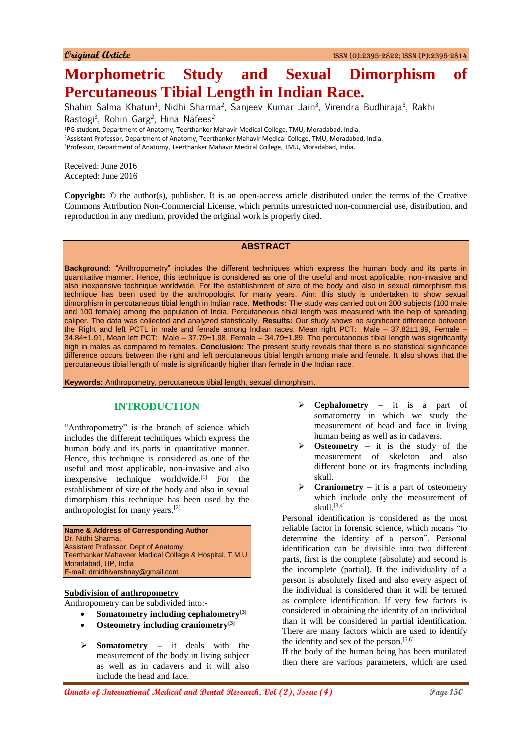# **Morphometric Study and Sexual Dimorphism of Percutaneous Tibial Length in Indian Race.**

Shahin Salma Khatun<sup>1</sup>, Nidhi Sharma<sup>2</sup>, Sanjeev Kumar Jain<sup>3</sup>, Virendra Budhiraja<sup>3</sup>, Rakhi Rastogi<sup>3</sup>, Rohin Garg<sup>2</sup>, Hina Nafees<sup>2</sup>

<sup>1</sup>PG student, Department of Anatomy, Teerthanker Mahavir Medical College, TMU, Moradabad, India. <sup>2</sup>Assistant Professor, Department of Anatomy, Teerthanker Mahavir Medical College, TMU, Moradabad, India. <sup>3</sup>Professor, Department of Anatomy, Teerthanker Mahavir Medical College, TMU, Moradabad, India.

Received: June 2016 Accepted: June 2016

**Copyright:** © the author(s), publisher. It is an open-access article distributed under the terms of the Creative Commons Attribution Non-Commercial License, which permits unrestricted non-commercial use, distribution, and reproduction in any medium, provided the original work is properly cited.

## **ABSTRACT**

**Background:** "Anthropometry" includes the different techniques which express the human body and its parts in quantitative manner. Hence, this technique is considered as one of the useful and most applicable, non-invasive and also inexpensive technique worldwide. For the establishment of size of the body and also in sexual dimorphism this technique has been used by the anthropologist for many years. Aim: this study is undertaken to show sexual dimorphism in percutaneous tibial length in Indian race. **Methods:** The study was carried out on 200 subjects (100 male and 100 female) among the population of India. Percutaneous tibial length was measured with the help of spreading caliper. The data was collected and analyzed statistically. **Results:** Our study shows no significant difference between the Right and left PCTL in male and female among Indian races. Mean right PCT: Male – 37.82±1.99, Female – 34.84±1.91, Mean left PCT: Male – 37.79±1.98, Female – 34.79±1.89. The percutaneous tibial length was significantly high in males as compared to females. **Conclusion:** The present study reveals that there is no statistical significance difference occurs between the right and left percutaneous tibial length among male and female. It also shows that the percutaneous tibial length of male is significantly higher than female in the Indian race.

**Keywords:** Anthropometry, percutaneous tibial length, sexual dimorphism.

# **INTRODUCTION**

"Anthropometry" is the branch of science which includes the different techniques which express the human body and its parts in quantitative manner. Hence, this technique is considered as one of the useful and most applicable, non-invasive and also inexpensive technique worldwide.<sup>[1]</sup> For the establishment of size of the body and also in sexual dimorphism this technique has been used by the anthropologist for many years.[2]

**Name & Address of Corresponding Author** Dr. Nidhi Sharma, Assistant Professor, Dept of Anatomy, Teerthankar Mahaveer Medical College & Hospital, T.M.U. Moradabad, UP, India E-mail: drnidhivarshney@gmail.com

#### **Subdivision of anthropometry**

Anthropometry can be subdivided into:-

- **Somatometry including cephalometry[3]**
- **Osteometry including craniometry[3]**
- **Somatometry –** it deals with the measurement of the body in living subject as well as in cadavers and it will also include the head and face.
- **Cephalometry –** it is a part of somatometry in which we study the measurement of head and face in living human being as well as in cadavers.
- **Osteometry –** it is the study of the measurement of skeleton and also different bone or its fragments including skull.
- **Craniometry –** it is a part of osteometry which include only the measurement of skull.[3,4]

Personal identification is considered as the most reliable factor in forensic science, which means "to determine the identity of a person". Personal identification can be divisible into two different parts, first is the complete (absolute) and second is the incomplete (partial). If the individuality of a person is absolutely fixed and also every aspect of the individual is considered than it will be termed as complete identification. If very few factors is considered in obtaining the identity of an individual than it will be considered in partial identification. There are many factors which are used to identify the identity and sex of the person. $[5,6]$ 

If the body of the human being has been mutilated then there are various parameters, which are used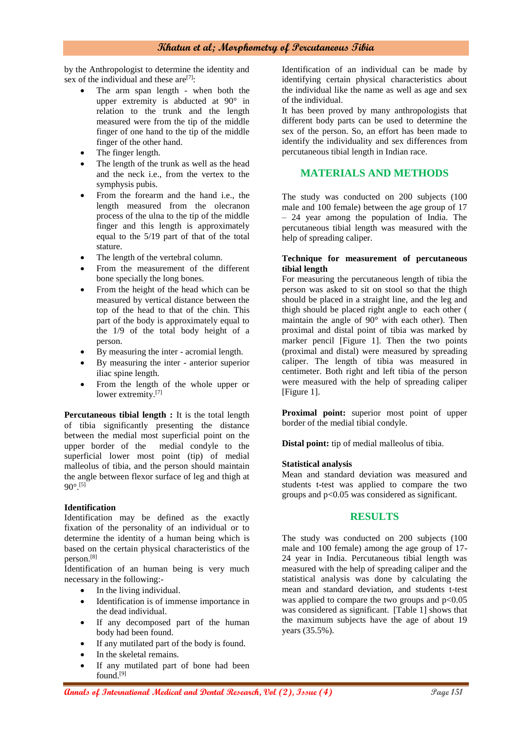by the Anthropologist to determine the identity and sex of the individual and these are  $[7]$ :

- The arm span length when both the upper extremity is abducted at 90° in relation to the trunk and the length measured were from the tip of the middle finger of one hand to the tip of the middle finger of the other hand.
- The finger length.
- The length of the trunk as well as the head and the neck i.e., from the vertex to the symphysis pubis.
- From the forearm and the hand i.e., the length measured from the olecranon process of the ulna to the tip of the middle finger and this length is approximately equal to the 5/19 part of that of the total stature.
- The length of the vertebral column.
- From the measurement of the different bone specially the long bones.
- From the height of the head which can be measured by vertical distance between the top of the head to that of the chin. This part of the body is approximately equal to the 1/9 of the total body height of a person.
- By measuring the inter acromial length.
- By measuring the inter anterior superior iliac spine length.
- From the length of the whole upper or lower extremity.<sup>[7]</sup>

**Percutaneous tibial length :** It is the total length of tibia significantly presenting the distance between the medial most superficial point on the upper border of the medial condyle to the superficial lower most point (tip) of medial malleolus of tibia, and the person should maintain the angle between flexor surface of leg and thigh at  $90^{\circ}$ [5]

#### **Identification**

Identification may be defined as the exactly fixation of the personality of an individual or to determine the identity of a human being which is based on the certain physical characteristics of the person.[8]

Identification of an human being is very much necessary in the following:-

- In the living individual.
- Identification is of immense importance in the dead individual.
- If any decomposed part of the human body had been found.
- If any mutilated part of the body is found.
- In the skeletal remains.
- If any mutilated part of bone had been found.[9]

Identification of an individual can be made by identifying certain physical characteristics about the individual like the name as well as age and sex of the individual.

It has been proved by many anthropologists that different body parts can be used to determine the sex of the person. So, an effort has been made to identify the individuality and sex differences from percutaneous tibial length in Indian race.

# **MATERIALS AND METHODS**

The study was conducted on 200 subjects (100 male and 100 female) between the age group of 17 – 24 year among the population of India. The percutaneous tibial length was measured with the help of spreading caliper.

#### **Technique for measurement of percutaneous tibial length**

For measuring the percutaneous length of tibia the person was asked to sit on stool so that the thigh should be placed in a straight line, and the leg and thigh should be placed right angle to each other ( maintain the angle of 90° with each other). Then proximal and distal point of tibia was marked by marker pencil [Figure 1]. Then the two points (proximal and distal) were measured by spreading caliper. The length of tibia was measured in centimeter. Both right and left tibia of the person were measured with the help of spreading caliper [Figure 1].

**Proximal point:** superior most point of upper border of the medial tibial condyle.

**Distal point:** tip of medial malleolus of tibia.

#### **Statistical analysis**

Mean and standard deviation was measured and students t-test was applied to compare the two groups and p<0.05 was considered as significant.

## **RESULTS**

The study was conducted on 200 subjects (100 male and 100 female) among the age group of 17- 24 year in India. Percutaneous tibial length was measured with the help of spreading caliper and the statistical analysis was done by calculating the mean and standard deviation, and students t-test was applied to compare the two groups and  $p<0.05$ was considered as significant. [Table 1] shows that the maximum subjects have the age of about 19 years (35.5%).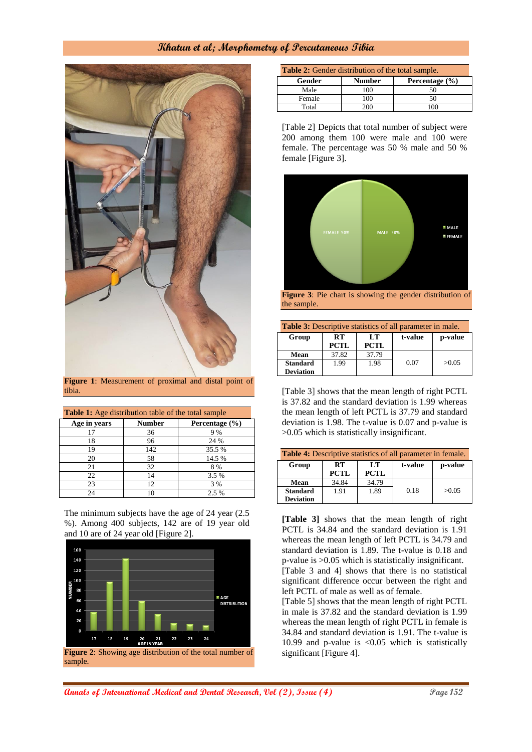

**Figure 1**: Measurement of proximal and distal point of tibia.

| <b>Table 1:</b> Age distribution table of the total sample |               |                |  |  |
|------------------------------------------------------------|---------------|----------------|--|--|
| Age in years                                               | <b>Number</b> | Percentage (%) |  |  |
| 17                                                         | 36            | 9 %            |  |  |
| 18                                                         | 96            | 24 %           |  |  |
| 19                                                         | 142           | 35.5 %         |  |  |
| 20                                                         | 58            | 14.5 %         |  |  |
| 21                                                         | 32            | 8%             |  |  |
| 22                                                         | 14            | 3.5 %          |  |  |
| 23                                                         | 12.           | 3 %            |  |  |
| 24                                                         |               | 2.5 %          |  |  |

The minimum subjects have the age of 24 year (2.5 %). Among 400 subjects, 142 are of 19 year old and 10 are of 24 year old [Figure 2].



**Figure 2**: Showing age distribution of the total number of sample.

| <b>Table 2:</b> Gender distribution of the total sample. |                                 |    |  |  |
|----------------------------------------------------------|---------------------------------|----|--|--|
| Gender                                                   | <b>Number</b><br>Percentage (%) |    |  |  |
| Male                                                     | 100                             |    |  |  |
| Female                                                   | 100                             | 50 |  |  |
| Total                                                    | 200                             |    |  |  |

[Table 2] Depicts that total number of subject were 200 among them 100 were male and 100 were female. The percentage was 50 % male and 50 % female [Figure 3].



**Figure 3**: Pie chart is showing the gender distribution of the sample.

| <b>Table 3:</b> Descriptive statistics of all parameter in male. |                          |                   |         |         |
|------------------------------------------------------------------|--------------------------|-------------------|---------|---------|
| Group                                                            | <b>RT</b><br><b>PCTL</b> | LT<br><b>PCTL</b> | t-value | p-value |
| Mean                                                             | 37.82                    | 37.79             |         |         |
| <b>Standard</b>                                                  | 1.99                     | 1.98              | 0.07    | >0.05   |
| <b>Deviation</b>                                                 |                          |                   |         |         |

[Table 3] shows that the mean length of right PCTL is 37.82 and the standard deviation is 1.99 whereas the mean length of left PCTL is 37.79 and standard deviation is 1.98. The t-value is 0.07 and p-value is >0.05 which is statistically insignificant.

| <b>Table 4:</b> Descriptive statistics of all parameter in female. |             |             |         |         |
|--------------------------------------------------------------------|-------------|-------------|---------|---------|
| Group                                                              | RT          | LT          | t-value | p-value |
|                                                                    | <b>PCTL</b> | <b>PCTL</b> |         |         |
| Mean                                                               | 34.84       | 34.79       |         |         |
| <b>Standard</b>                                                    | 1.91        | 1.89        | 0.18    | >0.05   |
| <b>Deviation</b>                                                   |             |             |         |         |

**[Table 3]** shows that the mean length of right PCTL is 34.84 and the standard deviation is 1.91 whereas the mean length of left PCTL is 34.79 and standard deviation is 1.89. The t-value is 0.18 and p-value is >0.05 which is statistically insignificant. [Table 3 and 4] shows that there is no statistical significant difference occur between the right and left PCTL of male as well as of female.

[Table 5] shows that the mean length of right PCTL in male is 37.82 and the standard deviation is 1.99 whereas the mean length of right PCTL in female is 34.84 and standard deviation is 1.91. The t-value is 10.99 and p-value is <0.05 which is statistically significant [Figure 4].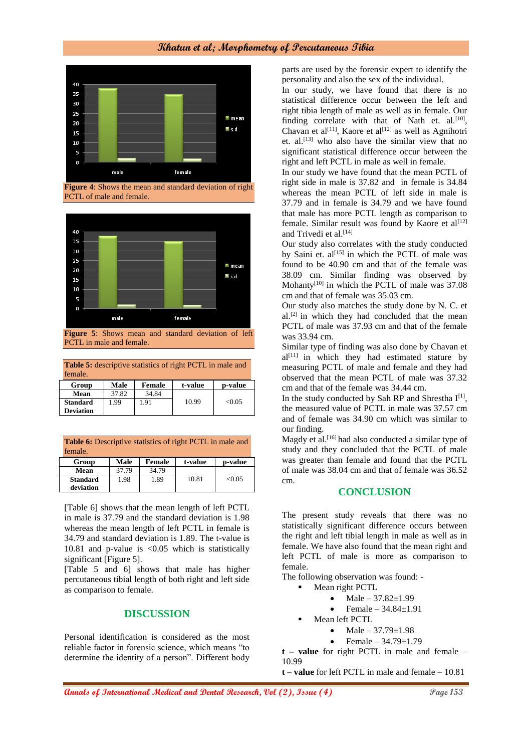

**Figure 4**: Shows the mean and standard deviation of right PCTL of male and female.



PCTL in male and female.

**Table 5:** descriptive statistics of right PCTL in male and female.

| Group            | Male  | Female | t-value | p-value |
|------------------|-------|--------|---------|---------|
| Mean             | 37.82 | 34.84  |         |         |
| <b>Standard</b>  | .99   | 1.91   | 10.99   | < 0.05  |
| <b>Deviation</b> |       |        |         |         |

**Table 6:** Descriptive statistics of right PCTL in male and female.

| Group                        | Male  | Female | t-value | p-value |
|------------------------------|-------|--------|---------|---------|
| Mean                         | 37.79 | 34.79  |         |         |
| <b>Standard</b><br>deviation | 1.98  | 1.89   | 10.81   | < 0.05  |

[Table 6] shows that the mean length of left PCTL in male is 37.79 and the standard deviation is 1.98 whereas the mean length of left PCTL in female is 34.79 and standard deviation is 1.89. The t-value is 10.81 and p-value is <0.05 which is statistically significant [Figure 5].

[Table 5 and 6] shows that male has higher percutaneous tibial length of both right and left side as comparison to female.

## **DISCUSSION**

Personal identification is considered as the most reliable factor in forensic science, which means "to determine the identity of a person". Different body parts are used by the forensic expert to identify the personality and also the sex of the individual.

In our study, we have found that there is no statistical difference occur between the left and right tibia length of male as well as in female. Our finding correlate with that of Nath et. al. $[10]$ , Chavan et al<sup>[11]</sup>, Kaore et al<sup>[12]</sup> as well as Agnihotri et. al.<sup>[13]</sup> who also have the similar view that no significant statistical difference occur between the right and left PCTL in male as well in female.

In our study we have found that the mean PCTL of right side in male is 37.82 and in female is 34.84 whereas the mean PCTL of left side in male is 37.79 and in female is 34.79 and we have found that male has more PCTL length as comparison to female. Similar result was found by Kaore et  $al^{[12]}$ and Trivedi et al.<sup>[14]</sup>

Our study also correlates with the study conducted by Saini et.  $al^{[15]}$  in which the PCTL of male was found to be 40.90 cm and that of the female was 38.09 cm. Similar finding was observed by Mohanty<sup>[10]</sup> in which the PCTL of male was 37.08 cm and that of female was 35.03 cm.

Our study also matches the study done by N. C. et  $al.$ <sup>[2]</sup> in which they had concluded that the mean PCTL of male was 37.93 cm and that of the female was 33.94 cm.

Similar type of finding was also done by Chavan et  $al^{[11]}$  in which they had estimated stature by measuring PCTL of male and female and they had observed that the mean PCTL of male was 37.32 cm and that of the female was 34.44 cm.

In the study conducted by Sah RP and Shrestha  $I^{[1]}$ , the measured value of PCTL in male was 37.57 cm and of female was 34.90 cm which was similar to our finding.

Magdy et al.<sup>[16]</sup> had also conducted a similar type of study and they concluded that the PCTL of male was greater than female and found that the PCTL of male was 38.04 cm and that of female was 36.52 cm.

#### **CONCLUSION**

The present study reveals that there was no statistically significant difference occurs between the right and left tibial length in male as well as in female. We have also found that the mean right and left PCTL of male is more as comparison to female.

The following observation was found: -

- Mean right PCTL
	- Male  $37.82 \pm 1.99$
	- Female 34.84±1.91
- Mean left PCTL
	- Male 37.79±1.98
	- Female 34.79±1.79

**t – value** for right PCTL in male and female – 10.99

**t – value** for left PCTL in male and female – 10.81